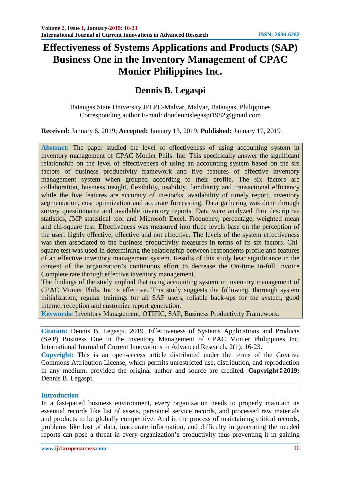# **Effectiveness of Systems Applications and Products (SAP) Business One in the Inventory Management of CPAC Monier Philippines Inc.**

# **Dennis B. Legaspi**

Batangas State University JPLPC-Malvar, Malvar, Batangas, Philippines Corresponding author E-mail: dondennislegaspi1982@gmail.com

**Received:** January 6, 2019; **Accepted:** January 13, 2019; **Published:** January 17, 2019

**Abstract:** The paper studied the level of effectiveness of using accounting system in inventory management of CPAC Monier Phils. Inc. This specifically answer the significant relationship on the level of effectiveness of using an accounting system based on the six factors of business productivity framework and five features of effective inventory management system when grouped according to their profile. The six factors are collaboration, business insight, flexibility, usability, familiarity and transactional efficiency while the five features are accuracy of in-stocks, availability of timely report, inventory segmentation, cost optimization and accurate forecasting. Data gathering was done through survey questionnaire and available inventory reports. Data were analyzed thru descriptive statistics, JMP statistical tool and Microsoft Excel. Frequency, percentage, weighted mean and chi-square test. Effectiveness was measured into three levels base on the perception of the user: highly effective, effective and not effective. The levels of the system effectiveness was then associated to the business productivity measures in terms of its six factors. Chisquare test was used in determining the relationship between respondents profile and features of an effective inventory management system. Results of this study bear significance in the context of the organization's continuous effort to decrease the On-time In-full Invoice Complete rate through effective inventory management.

The findings of the study implied that using accounting system in inventory management of CPAC Monier Phils. Inc is effective. This study suggests the following, thorough system initialization, regular trainings for all SAP users, reliable back-ups for the system, good internet reception and customize report generation.

**Keywords:** Inventory Management, OTIFIC, SAP, Business Productivity Framework.

**Citation:** Dennis B. Legaspi. 2019. Effectiveness of Systems Applications and Products (SAP) Business One in the Inventory Management of CPAC Monier Philippines Inc. International Journal of Current Innovations in Advanced Research, 2(1): 16-23.

**Copyright:** This is an open-access article distributed under the terms of the Creative Commons Attribution License, which permits unrestricted use, distribution, and reproduction in any medium, provided the original author and source are credited*.* **Copyright©2019;** Dennis B. Legaspi.

### **Introduction**

In a fast-paced business environment, every organization needs to properly maintain its essential records like list of assets, personnel service records, and processed raw materials and products to be globally competitive. And in the process of maintaining critical records, problems like lost of data, inaccurate information, and difficulty in generating the needed reports can pose a threat in every organization's productivity thus preventing it in gaining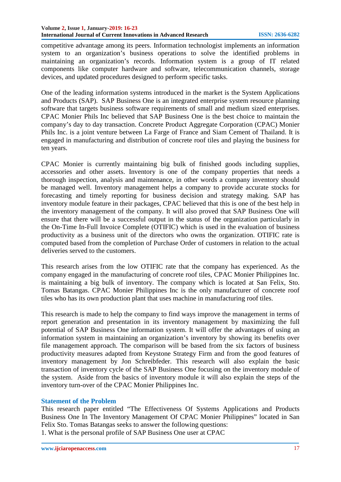competitive advantage among its peers. Information technologist implements an information system to an organization's business operations to solve the identified problems in maintaining an organization's records. Information system is a group of IT related components like computer hardware and software, telecommunication channels, storage devices, and updated procedures designed to perform specific tasks.

One of the leading information systems introduced in the market is the System Applications and Products (SAP). SAP Business One is an integrated enterprise system resource planning software that targets business software requirements of small and medium sized enterprises. CPAC Monier Phils Inc believed that SAP Business One is the best choice to maintain the company's day to day transaction. Concrete Product Aggregate Corporation (CPAC) Monier Phils Inc. is a joint venture between La Farge of France and Siam Cement of Thailand. It is engaged in manufacturing and distribution of concrete roof tiles and playing the business for ten years.

CPAC Monier is currently maintaining big bulk of finished goods including supplies, accessories and other assets. Inventory is one of the company properties that needs a thorough inspection, analysis and maintenance, in other words a company inventory should be managed well. Inventory management helps a company to provide accurate stocks for forecasting and timely reporting for business decision and strategy making. SAP has inventory module feature in their packages, CPAC believed that this is one of the best help in the inventory management of the company. It will also proved that SAP Business One will ensure that there will be a successful output in the status of the organization particularly in the On-Time In-Full Invoice Complete (OTIFIC) which is used in the evaluation of business productivity as a business unit of the directors who owns the organization. OTIFIC rate is computed based from the completion of Purchase Order of customers in relation to the actual deliveries served to the customers.

This research arises from the low OTIFIC rate that the company has experienced. As the company engaged in the manufacturing of concrete roof tiles, CPAC Monier Philippines Inc. is maintaining a big bulk of inventory. The company which is located at San Felix, Sto. Tomas Batangas. CPAC Monier Philippines Inc is the only manufacturer of concrete roof tiles who has its own production plant that uses machine in manufacturing roof tiles.

This research is made to help the company to find ways improve the management in terms of report generation and presentation in its inventory management by maximizing the full potential of SAP Business One information system. It will offer the advantages of using an information system in maintaining an organization's inventory by showing its benefits over file management approach. The comparison will be based from the six factors of business productivity measures adapted from Keystone Strategy Firm and from the good features of inventory management by Jon Schreibfeder. This research will also explain the basic transaction of inventory cycle of the SAP Business One focusing on the inventory module of the system. Aside from the basics of inventory module it will also explain the steps of the inventory turn-over of the CPAC Monier Philippines Inc.

### **Statement of the Problem**

This research paper entitled "The Effectiveness Of Systems Applications and Products Business One In The Inventory Management Of CPAC Monier Philippines" located in San Felix Sto. Tomas Batangas seeks to answer the following questions:

1. What is the personal profile of SAP Business One user at CPAC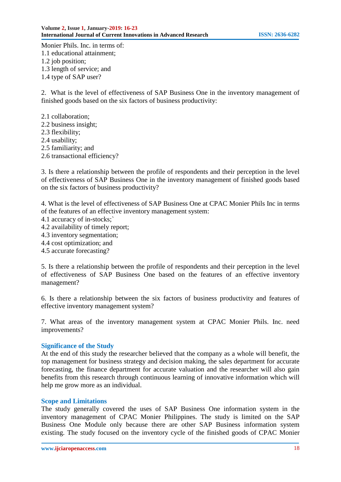Monier Phils. Inc. in terms of: 1.1 educational attainment; 1.2 job position; 1.3 length of service; and 1.4 type of SAP user?

2. What is the level of effectiveness of SAP Business One in the inventory management of finished goods based on the six factors of business productivity:

2.1 collaboration; 2.2 business insight; 2.3 flexibility; 2.4 usability; 2.5 familiarity; and 2.6 transactional efficiency?

3. Is there a relationship between the profile of respondents and their perception in the level of effectiveness of SAP Business One in the inventory management of finished goods based on the six factors of business productivity?

4. What is the level of effectiveness of SAP Business One at CPAC Monier Phils Inc in terms of the features of an effective inventory management system:

- 4.1 accuracy of in-stocks;`
- 4.2 availability of timely report;
- 4.3 inventory segmentation;
- 4.4 cost optimization; and
- 4.5 accurate forecasting?

5. Is there a relationship between the profile of respondents and their perception in the level of effectiveness of SAP Business One based on the features of an effective inventory management?

6. Is there a relationship between the six factors of business productivity and features of effective inventory management system?

7. What areas of the inventory management system at CPAC Monier Phils. Inc. need improvements?

### **Significance of the Study**

At the end of this study the researcher believed that the company as a whole will benefit, the top management for business strategy and decision making, the sales department for accurate forecasting, the finance department for accurate valuation and the researcher will also gain benefits from this research through continuous learning of innovative information which will help me grow more as an individual.

#### **Scope and Limitations**

The study generally covered the uses of SAP Business One information system in the inventory management of CPAC Monier Philippines. The study is limited on the SAP Business One Module only because there are other SAP Business information system existing. The study focused on the inventory cycle of the finished goods of CPAC Monier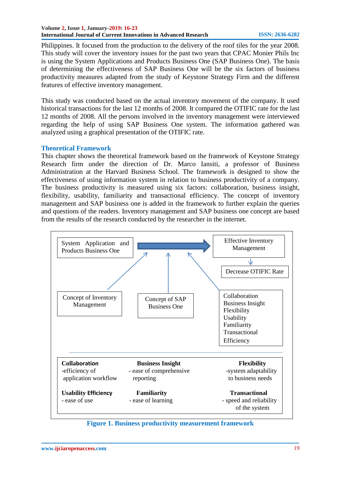#### **Volume 2, Issue 1, January-2019: 16-23 International Journal of Current Innovations in Advanced Research ISSN: 2636-6282**

Philippines. It focused from the production to the delivery of the roof tiles for the year 2008. This study will cover the inventory issues for the past two years that CPAC Monier Phils Inc is using the System Applications and Products Business One (SAP Business One). The basis of determining the effectiveness of SAP Business One will be the six factors of business productivity measures adapted from the study of Keystone Strategy Firm and the different features of effective inventory management.

This study was conducted based on the actual inventory movement of the company. It used historical transactions for the last 12 months of 2008. It compared the OTIFIC rate for the last 12 months of 2008. All the persons involved in the inventory management were interviewed regarding the help of using SAP Business One system. The information gathered was analyzed using a graphical presentation of the OTIFIC rate.

## **Theoretical Framework**

This chapter shows the theoretical framework based on the framework of Keystone Strategy Research firm under the direction of Dr. Marco Iansiti, a professor of Business Administration at the Harvard Business School. The framework is designed to show the effectiveness of using information system in relation to business productivity of a company. The business productivity is measured using six factors: collaboration, business insight, flexibility, usability, familiarity and transactional efficiency. The concept of inventory management and SAP business one is added in the framework to further explain the queries and questions of the readers. Inventory management and SAP business one concept are based from the results of the research conducted by the researcher in the internet.



**Figure 1. Business productivity measurement framework**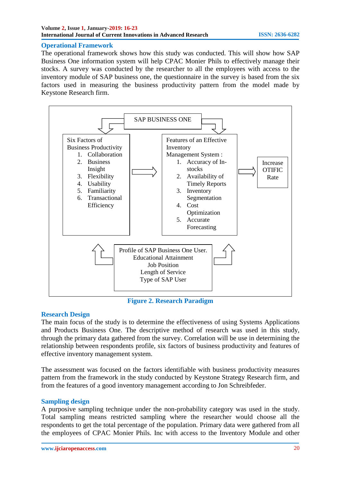## **Operational Framework**

The operational framework shows how this study was conducted. This will show how SAP Business One information system will help CPAC Monier Phils to effectively manage their stocks. A survey was conducted by the researcher to all the employees with access to the inventory module of SAP business one, the questionnaire in the survey is based from the six factors used in measuring the business productivity pattern from the model made by Keystone Research firm.



**Figure 2. Research Paradigm**

# **Research Design**

The main focus of the study is to determine the effectiveness of using Systems Applications and Products Business One. The descriptive method of research was used in this study, through the primary data gathered from the survey. Correlation will be use in determining the relationship between respondents profile, six factors of business productivity and features of effective inventory management system.

The assessment was focused on the factors identifiable with business productivity measures pattern from the framework in the study conducted by Keystone Strategy Research firm, and from the features of a good inventory management according to Jon Schreibfeder.

# **Sampling design**

A purposive sampling technique under the non-probability category was used in the study. Total sampling means restricted sampling where the researcher would choose all the respondents to get the total percentage of the population. Primary data were gathered from all the employees of CPAC Monier Phils. Inc with access to the Inventory Module and other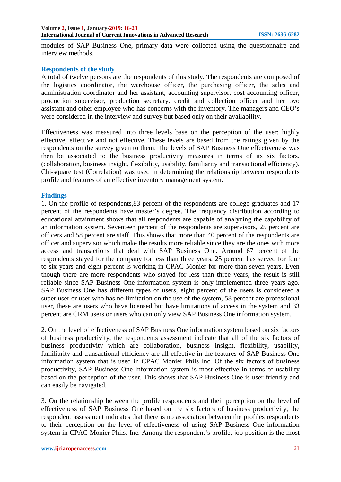modules of SAP Business One, primary data were collected using the questionnaire and interview methods.

#### **Respondents of the study**

A total of twelve persons are the respondents of this study. The respondents are composed of the logistics coordinator, the warehouse officer, the purchasing officer, the sales and administration coordinator and her assistant, accounting supervisor, cost accounting officer, production supervisor, production secretary, credit and collection officer and her two assistant and other employee who has concerns with the inventory. The managers and CEO's were considered in the interview and survey but based only on their availability.

Effectiveness was measured into three levels base on the perception of the user: highly effective, effective and not effective. These levels are based from the ratings given by the respondents on the survey given to them. The levels of SAP Business One effectiveness was then be associated to the business productivity measures in terms of its six factors. (collaboration, business insight, flexibility, usability, familiarity and transactional efficiency). Chi-square test (Correlation) was used in determining the relationship between respondents profile and features of an effective inventory management system.

#### **Findings**

1. On the profile of respondents,83 percent of the respondents are college graduates and 17 percent of the respondents have master's degree. The frequency distribution according to educational attainment shows that all respondents are capable of analyzing the capability of an information system. Seventeen percent of the respondents are supervisors, 25 percent are officers and 58 percent are staff. This shows that more than 40 percent of the respondents are officer and supervisor which make the results more reliable since they are the ones with more access and transactions that deal with SAP Business One. Around 67 percent of the respondents stayed for the company for less than three years, 25 percent has served for four to six years and eight percent is working in CPAC Monier for more than seven years. Even though there are more respondents who stayed for less than three years, the result is still reliable since SAP Business One information system is only implemented three years ago. SAP Business One has different types of users, eight percent of the users is considered a super user or user who has no limitation on the use of the system, 58 percent are professional user, these are users who have licensed but have limitations of access in the system and 33 percent are CRM users or users who can only view SAP Business One information system.

2. On the level of effectiveness of SAP Business One information system based on six factors of business productivity, the respondents assessment indicate that all of the six factors of business productivity which are collaboration, business insight, flexibility, usability, familiarity and transactional efficiency are all effective in the features of SAP Business One information system that is used in CPAC Monier Phils Inc. Of the six factors of business productivity, SAP Business One information system is most effective in terms of usability based on the perception of the user. This shows that SAP Business One is user friendly and can easily be navigated.

3. On the relationship between the profile respondents and their perception on the level of effectiveness of SAP Business One based on the six factors of business productivity, the respondent assessment indicates that there is no association between the profiles respondents to their perception on the level of effectiveness of using SAP Business One information system in CPAC Monier Phils. Inc. Among the respondent's profile, job position is the most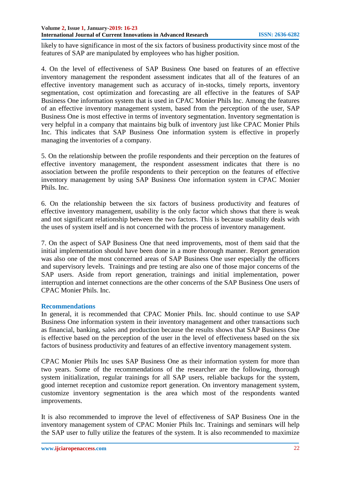likely to have significance in most of the six factors of business productivity since most of the features of SAP are manipulated by employees who has higher position.

4. On the level of effectiveness of SAP Business One based on features of an effective inventory management the respondent assessment indicates that all of the features of an effective inventory management such as accuracy of in-stocks, timely reports, inventory segmentation, cost optimization and forecasting are all effective in the features of SAP Business One information system that is used in CPAC Monier Phils Inc. Among the features of an effective inventory management system, based from the perception of the user, SAP Business One is most effective in terms of inventory segmentation. Inventory segmentation is very helpful in a company that maintains big bulk of inventory just like CPAC Monier Phils Inc. This indicates that SAP Business One information system is effective in properly managing the inventories of a company.

5. On the relationship between the profile respondents and their perception on the features of effective inventory management, the respondent assessment indicates that there is no association between the profile respondents to their perception on the features of effective inventory management by using SAP Business One information system in CPAC Monier Phils. Inc.

6. On the relationship between the six factors of business productivity and features of effective inventory management, usability is the only factor which shows that there is weak and not significant relationship between the two factors. This is because usability deals with the uses of system itself and is not concerned with the process of inventory management.

7. On the aspect of SAP Business One that need improvements, most of them said that the initial implementation should have been done in a more thorough manner. Report generation was also one of the most concerned areas of SAP Business One user especially the officers and supervisory levels. Trainings and pre testing are also one of those major concerns of the SAP users. Aside from report generation, trainings and initial implementation, power interruption and internet connections are the other concerns of the SAP Business One users of CPAC Monier Phils. Inc.

### **Recommendations**

In general, it is recommended that CPAC Monier Phils. Inc. should continue to use SAP Business One information system in their inventory management and other transactions such as financial, banking, sales and production because the results shows that SAP Business One is effective based on the perception of the user in the level of effectiveness based on the six factors of business productivity and features of an effective inventory management system.

CPAC Monier Phils Inc uses SAP Business One as their information system for more than two years. Some of the recommendations of the researcher are the following, thorough system initialization, regular trainings for all SAP users, reliable backups for the system, good internet reception and customize report generation. On inventory management system, customize inventory segmentation is the area which most of the respondents wanted improvements.

It is also recommended to improve the level of effectiveness of SAP Business One in the inventory management system of CPAC Monier Phils Inc. Trainings and seminars will help the SAP user to fully utilize the features of the system. It is also recommended to maximize